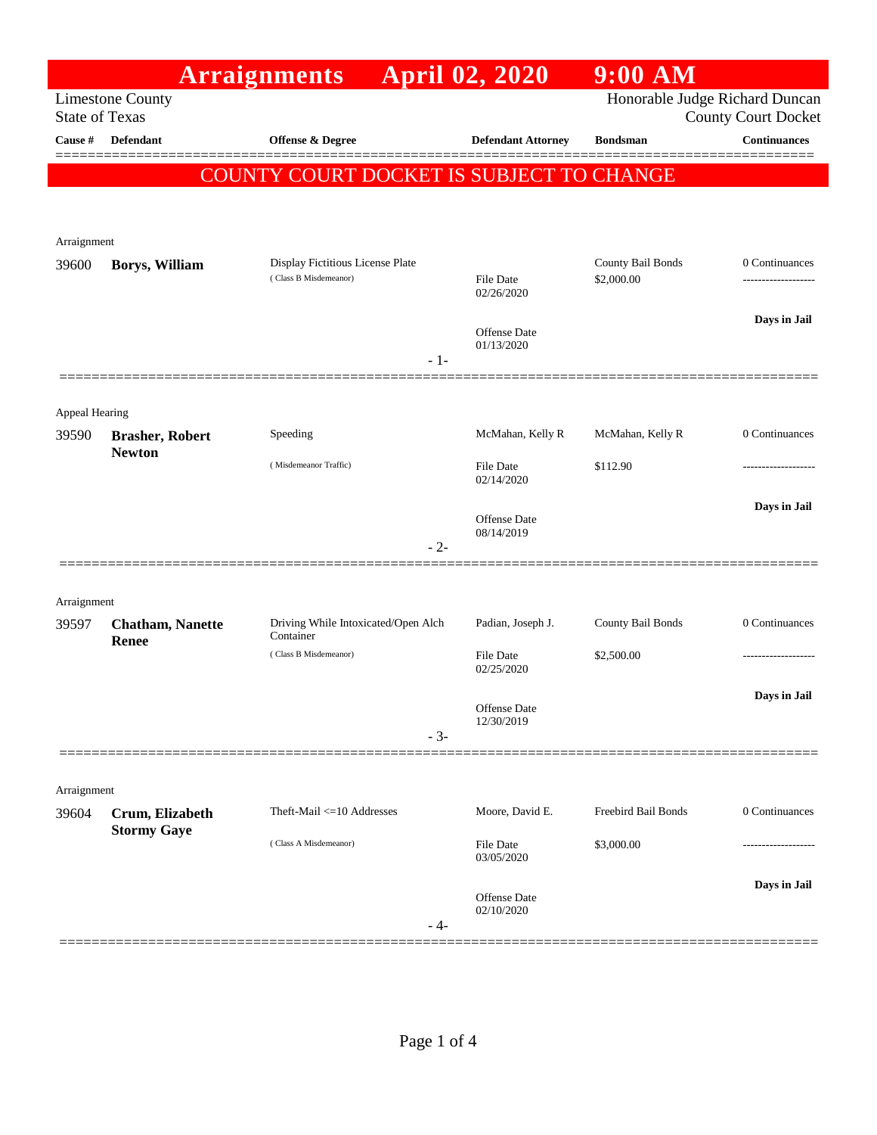|                                                  |                                         | <b>Arraignments</b>                                       | <b>April 02, 2020</b>          | $9:00$ AM                       |                                                              |
|--------------------------------------------------|-----------------------------------------|-----------------------------------------------------------|--------------------------------|---------------------------------|--------------------------------------------------------------|
| <b>Limestone County</b><br><b>State of Texas</b> |                                         |                                                           |                                |                                 | Honorable Judge Richard Duncan<br><b>County Court Docket</b> |
| Cause #                                          | <b>Defendant</b>                        | Offense & Degree                                          | <b>Defendant Attorney</b>      | <b>Bondsman</b>                 | <b>Continuances</b>                                          |
|                                                  |                                         | COUNTY COURT DOCKET IS SUBJECT TO CHANGE                  |                                |                                 |                                                              |
|                                                  |                                         |                                                           |                                |                                 |                                                              |
|                                                  |                                         |                                                           |                                |                                 |                                                              |
| Arraignment                                      |                                         |                                                           |                                |                                 |                                                              |
| 39600                                            | Borys, William                          | Display Fictitious License Plate<br>(Class B Misdemeanor) | <b>File Date</b><br>02/26/2020 | County Bail Bonds<br>\$2,000.00 | 0 Continuances                                               |
|                                                  |                                         |                                                           |                                |                                 | Days in Jail                                                 |
|                                                  |                                         |                                                           | Offense Date<br>01/13/2020     |                                 |                                                              |
|                                                  |                                         | $-1-$                                                     |                                |                                 |                                                              |
|                                                  |                                         |                                                           |                                |                                 |                                                              |
| Appeal Hearing                                   |                                         |                                                           |                                |                                 |                                                              |
| 39590                                            | <b>Brasher, Robert</b><br><b>Newton</b> | Speeding                                                  | McMahan, Kelly R               | McMahan, Kelly R                | 0 Continuances                                               |
|                                                  |                                         | (Misdemeanor Traffic)                                     | <b>File Date</b><br>02/14/2020 | \$112.90                        |                                                              |
|                                                  |                                         |                                                           |                                |                                 | Days in Jail                                                 |
|                                                  |                                         |                                                           | Offense Date<br>08/14/2019     |                                 |                                                              |
|                                                  |                                         | $-2-$                                                     |                                |                                 |                                                              |
|                                                  |                                         |                                                           |                                |                                 |                                                              |
| Arraignment                                      |                                         |                                                           |                                |                                 |                                                              |
| 39597                                            | <b>Chatham, Nanette</b><br><b>Renee</b> | Driving While Intoxicated/Open Alch<br>Container          | Padian, Joseph J.              | County Bail Bonds               | 0 Continuances                                               |
|                                                  |                                         | (Class B Misdemeanor)                                     | File Date<br>02/25/2020        | \$2,500.00                      |                                                              |
|                                                  |                                         |                                                           |                                |                                 | Days in Jail                                                 |
|                                                  |                                         |                                                           | Offense Date<br>12/30/2019     |                                 |                                                              |
|                                                  |                                         | $-3-$                                                     |                                |                                 |                                                              |
|                                                  |                                         |                                                           |                                |                                 |                                                              |
| Arraignment                                      |                                         |                                                           |                                |                                 |                                                              |
| 39604                                            | Crum, Elizabeth<br><b>Stormy Gaye</b>   | Theft-Mail $\leq 10$ Addresses                            | Moore, David E.                | Freebird Bail Bonds             | 0 Continuances                                               |
|                                                  |                                         | (Class A Misdemeanor)                                     | <b>File Date</b><br>03/05/2020 | \$3,000.00                      |                                                              |
|                                                  |                                         |                                                           |                                |                                 | Days in Jail                                                 |
|                                                  |                                         | - 4-                                                      | Offense Date<br>02/10/2020     |                                 |                                                              |
|                                                  |                                         |                                                           |                                |                                 |                                                              |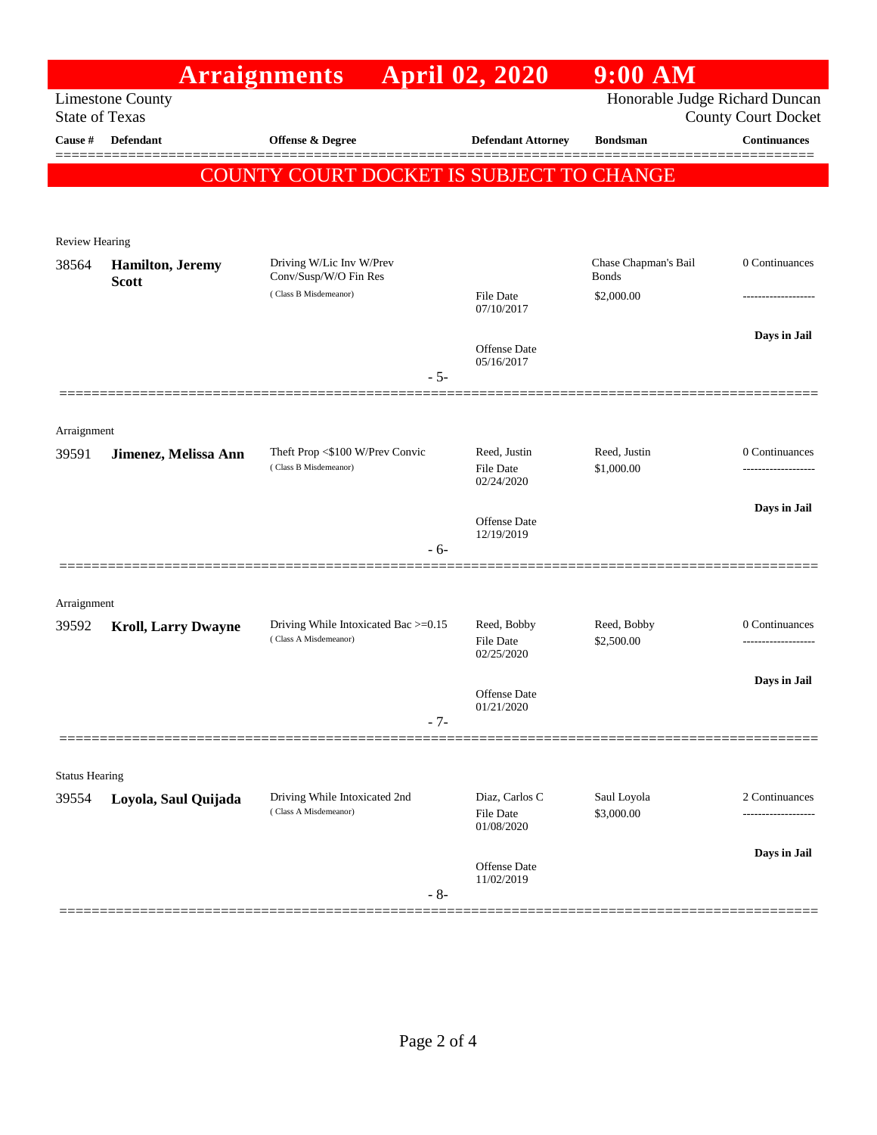|                                                  |                                  | <b>Arraignments</b>                                      | <b>April 02, 2020</b>                     | $9:00$ AM                                                    |                                       |
|--------------------------------------------------|----------------------------------|----------------------------------------------------------|-------------------------------------------|--------------------------------------------------------------|---------------------------------------|
| <b>Limestone County</b><br><b>State of Texas</b> |                                  |                                                          |                                           | Honorable Judge Richard Duncan<br><b>County Court Docket</b> |                                       |
| Cause #                                          | <b>Defendant</b>                 | <b>Offense &amp; Degree</b>                              | <b>Defendant Attorney</b>                 | <b>Bondsman</b>                                              | <b>Continuances</b>                   |
|                                                  |                                  | <b>COUNTY COURT DOCKET IS SUBJECT TO CHANGE</b>          |                                           |                                                              |                                       |
|                                                  |                                  |                                                          |                                           |                                                              |                                       |
| <b>Review Hearing</b>                            |                                  |                                                          |                                           |                                                              | 0 Continuances                        |
| 38564                                            | Hamilton, Jeremy<br><b>Scott</b> | Driving W/Lic Inv W/Prev<br>Conv/Susp/W/O Fin Res        |                                           | Chase Chapman's Bail<br><b>Bonds</b>                         |                                       |
|                                                  |                                  | (Class B Misdemeanor)                                    | <b>File Date</b><br>07/10/2017            | \$2,000.00                                                   |                                       |
|                                                  |                                  | $-5-$                                                    | <b>Offense Date</b><br>05/16/2017         |                                                              | Days in Jail                          |
|                                                  |                                  |                                                          |                                           |                                                              |                                       |
| Arraignment                                      |                                  |                                                          |                                           |                                                              |                                       |
| 39591                                            | Jimenez, Melissa Ann             | Theft Prop <\$100 W/Prev Convic<br>(Class B Misdemeanor) | Reed, Justin<br><b>File Date</b>          | Reed, Justin<br>\$1,000.00                                   | 0 Continuances<br>------------------- |
|                                                  |                                  |                                                          | 02/24/2020                                |                                                              |                                       |
|                                                  |                                  |                                                          | <b>Offense Date</b><br>12/19/2019         |                                                              | Days in Jail                          |
|                                                  |                                  | - 6-                                                     |                                           |                                                              |                                       |
|                                                  |                                  |                                                          |                                           |                                                              |                                       |
| Arraignment<br>39592                             | <b>Kroll, Larry Dwayne</b>       | Driving While Intoxicated Bac >=0.15                     | Reed, Bobby                               | Reed, Bobby                                                  | 0 Continuances                        |
|                                                  |                                  | (Class A Misdemeanor)                                    | <b>File Date</b><br>02/25/2020            | \$2,500.00                                                   |                                       |
|                                                  |                                  |                                                          | <b>Offense Date</b>                       |                                                              | Days in Jail                          |
|                                                  |                                  | $-7-$                                                    | 01/21/2020                                |                                                              |                                       |
|                                                  |                                  |                                                          |                                           |                                                              |                                       |
| <b>Status Hearing</b>                            |                                  |                                                          |                                           |                                                              |                                       |
| 39554                                            | Loyola, Saul Quijada             | Driving While Intoxicated 2nd<br>(Class A Misdemeanor)   | Diaz, Carlos C<br>File Date<br>01/08/2020 | Saul Loyola<br>\$3,000.00                                    | 2 Continuances                        |
|                                                  |                                  |                                                          |                                           |                                                              | Days in Jail                          |
|                                                  |                                  | $-8-$                                                    | Offense Date<br>11/02/2019                |                                                              |                                       |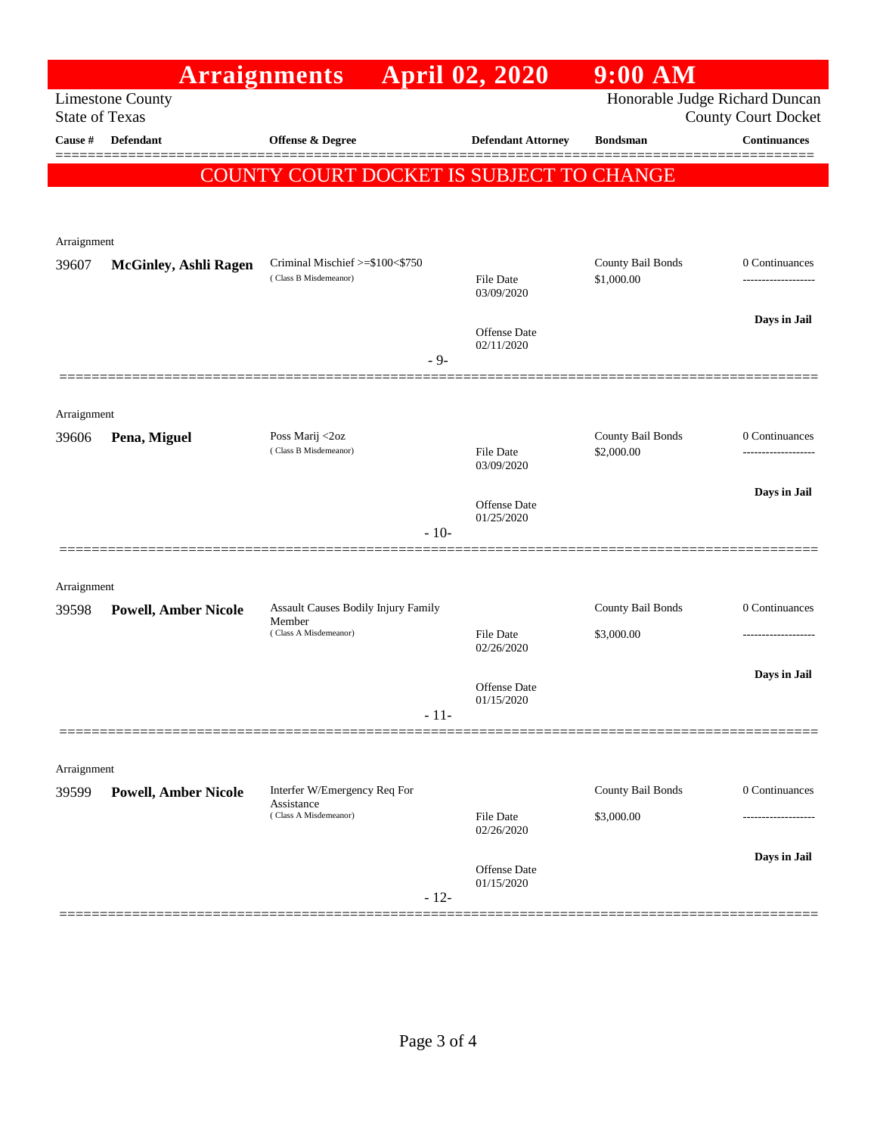|                                                                                                                  |                              | <b>Arraignments</b>                           | <b>April 02, 2020</b>             | $9:00$ AM         |                     |
|------------------------------------------------------------------------------------------------------------------|------------------------------|-----------------------------------------------|-----------------------------------|-------------------|---------------------|
| Honorable Judge Richard Duncan<br><b>Limestone County</b><br><b>State of Texas</b><br><b>County Court Docket</b> |                              |                                               |                                   |                   |                     |
| Cause #                                                                                                          | <b>Defendant</b>             | Offense & Degree                              | <b>Defendant Attorney</b>         | <b>Bondsman</b>   | <b>Continuances</b> |
|                                                                                                                  |                              |                                               |                                   |                   | ======              |
|                                                                                                                  |                              | COUNTY COURT DOCKET IS SUBJECT TO CHANGE      |                                   |                   |                     |
|                                                                                                                  |                              |                                               |                                   |                   |                     |
| Arraignment                                                                                                      |                              |                                               |                                   |                   |                     |
| 39607                                                                                                            | <b>McGinley, Ashli Ragen</b> | Criminal Mischief >=\$100<\$750               |                                   | County Bail Bonds | 0 Continuances      |
|                                                                                                                  |                              | (Class B Misdemeanor)                         | <b>File Date</b><br>03/09/2020    | \$1,000.00        |                     |
|                                                                                                                  |                              |                                               |                                   |                   | Days in Jail        |
|                                                                                                                  |                              |                                               | <b>Offense Date</b><br>02/11/2020 |                   |                     |
|                                                                                                                  |                              |                                               | - 9-                              |                   |                     |
|                                                                                                                  |                              |                                               |                                   |                   |                     |
| Arraignment<br>39606                                                                                             | Pena, Miguel                 | Poss Marij <2oz                               |                                   | County Bail Bonds | 0 Continuances      |
|                                                                                                                  |                              | (Class B Misdemeanor)                         | <b>File Date</b><br>03/09/2020    | \$2,000.00        | ------------------  |
|                                                                                                                  |                              |                                               |                                   |                   | Days in Jail        |
|                                                                                                                  |                              |                                               | <b>Offense Date</b><br>01/25/2020 |                   |                     |
|                                                                                                                  |                              |                                               | $-10-$                            |                   |                     |
|                                                                                                                  |                              |                                               |                                   |                   |                     |
| Arraignment                                                                                                      |                              |                                               |                                   |                   |                     |
| 39598                                                                                                            | <b>Powell, Amber Nicole</b>  | Assault Causes Bodily Injury Family<br>Member |                                   | County Bail Bonds | 0 Continuances      |
|                                                                                                                  |                              | (Class A Misdemeanor)                         | File Date<br>02/26/2020           | \$3,000.00        |                     |
|                                                                                                                  |                              |                                               |                                   |                   | Days in Jail        |
|                                                                                                                  |                              |                                               | <b>Offense Date</b><br>01/15/2020 |                   |                     |
|                                                                                                                  |                              |                                               | $-11-$                            |                   |                     |
|                                                                                                                  |                              |                                               |                                   |                   |                     |
| Arraignment<br>39599                                                                                             | <b>Powell, Amber Nicole</b>  | Interfer W/Emergency Req For                  |                                   | County Bail Bonds | 0 Continuances      |
|                                                                                                                  |                              | Assistance<br>(Class A Misdemeanor)           | <b>File Date</b>                  | \$3,000.00        |                     |
|                                                                                                                  |                              |                                               | 02/26/2020                        |                   |                     |
|                                                                                                                  |                              |                                               | Offense Date                      |                   | Days in Jail        |
|                                                                                                                  |                              |                                               | 01/15/2020<br>$-12-$              |                   |                     |
|                                                                                                                  |                              |                                               |                                   |                   |                     |